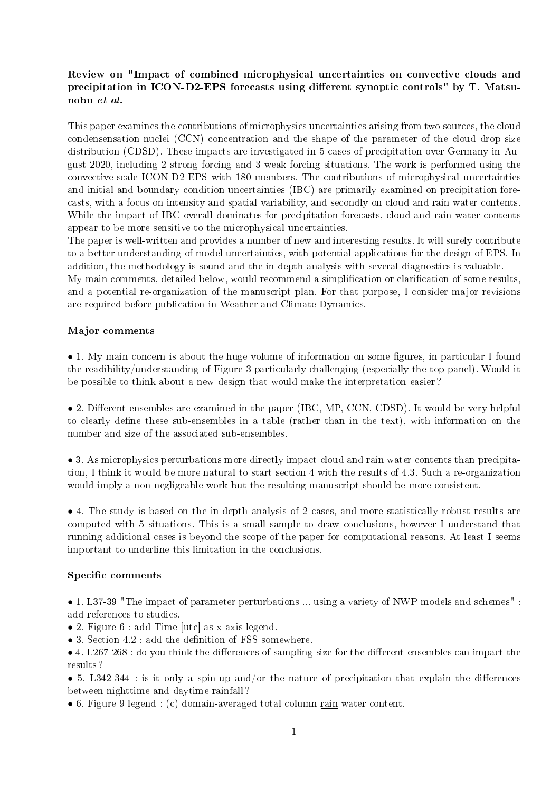## Review on "Impact of combined microphysical uncertainties on convective clouds and precipitation in ICON-D2-EPS forecasts using different synoptic controls" by T. Matsunobu et al.

This paper examines the contributions of microphysics uncertainties arising from two sources, the cloud condensensation nuclei (CCN) concentration and the shape of the parameter of the cloud drop size distribution (CDSD). These impacts are investigated in 5 cases of precipitation over Germany in August 2020, including 2 strong forcing and 3 weak forcing situations. The work is performed using the convective-scale ICON-D2-EPS with 180 members. The contributions of microphysical uncertainties and initial and boundary condition uncertainties (IBC) are primarily examined on precipitation forecasts, with a focus on intensity and spatial variability, and secondly on cloud and rain water contents. While the impact of IBC overall dominates for precipitation forecasts, cloud and rain water contents appear to be more sensitive to the microphysical uncertainties.

The paper is well-written and provides a number of new and interesting results. It will surely contribute to a better understanding of model uncertainties, with potential applications for the design of EPS. In addition, the methodology is sound and the in-depth analysis with several diagnostics is valuable.

My main comments, detailed below, would recommend a simplification or clarification of some results, and a potential re-organization of the manuscript plan. For that purpose, I consider major revisions are required before publication in Weather and Climate Dynamics.

## Major comments

• 1. My main concern is about the huge volume of information on some figures, in particular I found the readibility/understanding of Figure 3 particularly challenging (especially the top panel). Would it be possible to think about a new design that would make the interpretation easier ?

 $\bullet$  2. Different ensembles are examined in the paper (IBC, MP, CCN, CDSD). It would be very helpful to clearly define these sub-ensembles in a table (rather than in the text), with information on the number and size of the associated sub-ensembles.

• 3. As microphysics perturbations more directly impact cloud and rain water contents than precipitation, I think it would be more natural to start section 4 with the results of 4.3. Such a re-organization would imply a non-negligeable work but the resulting manuscript should be more consistent.

• 4. The study is based on the in-depth analysis of 2 cases, and more statistically robust results are computed with 5 situations. This is a small sample to draw conclusions, however I understand that running additional cases is beyond the scope of the paper for computational reasons. At least I seems important to underline this limitation in the conclusions.

## Specific comments

• 1. L37-39 "The impact of parameter perturbations ... using a variety of NWP models and schemes" : add references to studies.

• 2. Figure 6 : add Time [utc] as x-axis legend.

 $\bullet$  3. Section 4.2 : add the definition of FSS somewhere.

 $\bullet$  4. L267-268 : do you think the differences of sampling size for the different ensembles can impact the results ?

• 5. L342-344 : is it only a spin-up and/or the nature of precipitation that explain the differences between nighttime and daytime rainfall ?

• 6. Figure 9 legend : (c) domain-averaged total column rain water content.